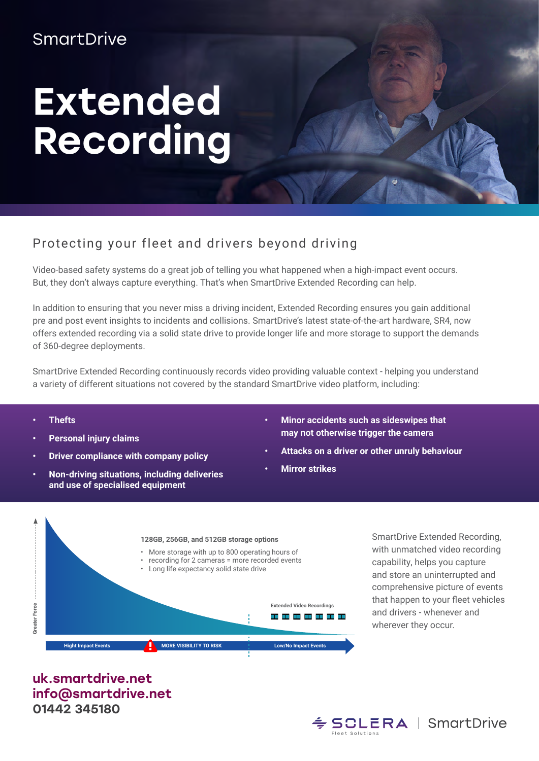## **SmartDrive**

## Extended Recording

## Protecting your fleet and drivers beyond driving

Video-based safety systems do a great job of telling you what happened when a high-impact event occurs. But, they don't always capture everything. That's when SmartDrive Extended Recording can help.

In addition to ensuring that you never miss a driving incident, Extended Recording ensures you gain additional pre and post event insights to incidents and collisions. SmartDrive's latest state-of-the-art hardware, SR4, now offers extended recording via a solid state drive to provide longer life and more storage to support the demands of 360-degree deployments.

SmartDrive Extended Recording continuously records video providing valuable context - helping you understand a variety of different situations not covered by the standard SmartDrive video platform, including:

- **• Thefts**
- **• Personal injury claims**
- **• Driver compliance with company policy**
- **• Non-driving situations, including deliveries and use of specialised equipment**
- **• Minor accidents such as sideswipes that may not otherwise trigger the camera**
- **• Attacks on a driver or other unruly behaviour**
- **• Mirror strikes**



SmartDrive Extended Recording, with unmatched video recording capability, helps you capture and store an uninterrupted and comprehensive picture of events that happen to your fleet vehicles and drivers - whenever and wherever they occur.

uk.smartdrive.net info@smartdrive.net 01442 345180